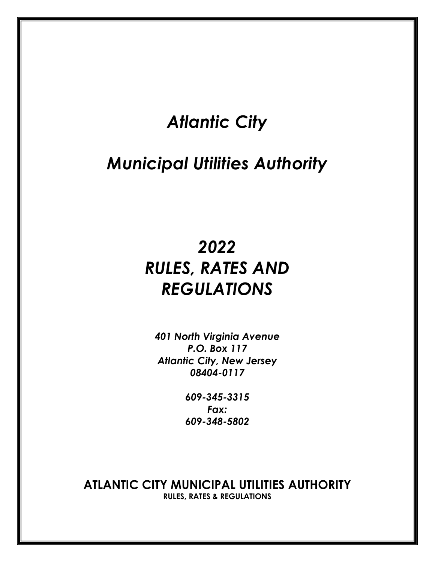# *Atlantic City*

# *Municipal Utilities Authority*

# *2022 RULES, RATES AND REGULATIONS*

*401 North Virginia Avenue P.O. Box 117 Atlantic City, New Jersey 08404-0117* 

> *609-345-3315 Fax: 609-348-5802*

**ATLANTIC CITY MUNICIPAL UTILITIES AUTHORITY RULES, RATES & REGULATIONS**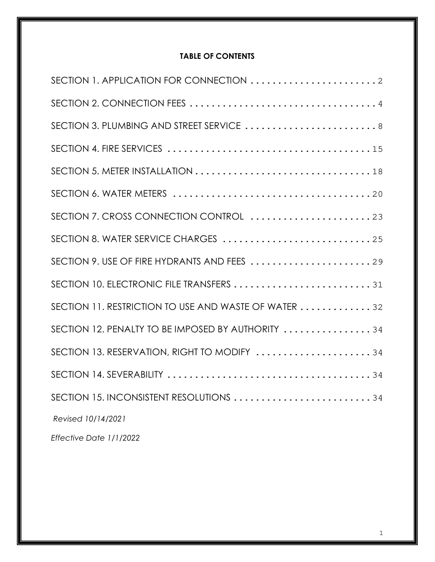# **TABLE OF CONTENTS**

| SECTION 3. PLUMBING AND STREET SERVICE  8            |  |
|------------------------------------------------------|--|
|                                                      |  |
|                                                      |  |
|                                                      |  |
| SECTION 7. CROSS CONNECTION CONTROL 23               |  |
| SECTION 8. WATER SERVICE CHARGES  25                 |  |
|                                                      |  |
| SECTION 10. ELECTRONIC FILE TRANSFERS 31             |  |
| SECTION 11. RESTRICTION TO USE AND WASTE OF WATER 32 |  |
| SECTION 12. PENALTY TO BE IMPOSED BY AUTHORITY 34    |  |
| SECTION 13. RESERVATION, RIGHT TO MODIFY 34          |  |
|                                                      |  |
| SECTION 15. INCONSISTENT RESOLUTIONS 34              |  |
| Revised 10/14/2021                                   |  |
| $T_{11} = 1$ , $T_{21} = 11110000$                   |  |

*Effective Date 1/1/2022*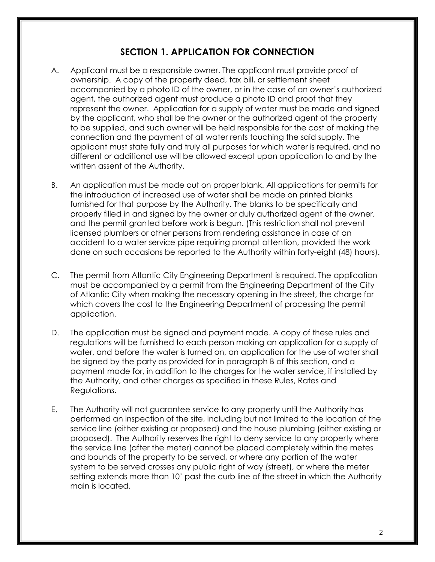# **SECTION 1. APPLICATION FOR CONNECTION**

- A. Applicant must be a responsible owner. The applicant must provide proof of ownership. A copy of the property deed, tax bill, or settlement sheet accompanied by a photo ID of the owner, or in the case of an owner's authorized agent, the authorized agent must produce a photo ID and proof that they represent the owner. Application for a supply of water must be made and signed by the applicant, who shall be the owner or the authorized agent of the property to be supplied, and such owner will be held responsible for the cost of making the connection and the payment of all water rents touching the said supply. The applicant must state fully and truly all purposes for which water is required, and no different or additional use will be allowed except upon application to and by the written assent of the Authority.
- B. An application must be made out on proper blank. All applications for permits for the introduction of increased use of water shall be made on printed blanks furnished for that purpose by the Authority. The blanks to be specifically and properly filled in and signed by the owner or duly authorized agent of the owner, and the permit granted before work is begun. (This restriction shall not prevent licensed plumbers or other persons from rendering assistance in case of an accident to a water service pipe requiring prompt attention, provided the work done on such occasions be reported to the Authority within forty-eight (48) hours).
- C. The permit from Atlantic City Engineering Department is required. The application must be accompanied by a permit from the Engineering Department of the City of Atlantic City when making the necessary opening in the street, the charge for which covers the cost to the Engineering Department of processing the permit application.
- D. The application must be signed and payment made. A copy of these rules and regulations will be furnished to each person making an application for a supply of water, and before the water is turned on, an application for the use of water shall be signed by the party as provided for in paragraph B of this section, and a payment made for, in addition to the charges for the water service, if installed by the Authority, and other charges as specified in these Rules, Rates and Regulations.
- E. The Authority will not guarantee service to any property until the Authority has performed an inspection of the site, including but not limited to the location of the service line (either existing or proposed) and the house plumbing (either existing or proposed). The Authority reserves the right to deny service to any property where the service line (after the meter) cannot be placed completely within the metes and bounds of the property to be served, or where any portion of the water system to be served crosses any public right of way (street), or where the meter setting extends more than 10' past the curb line of the street in which the Authority main is located.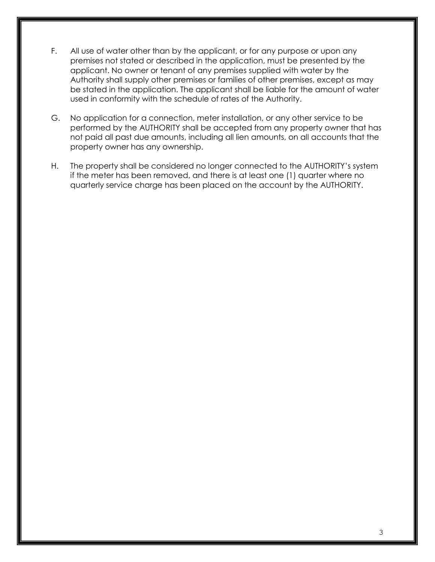- F. All use of water other than by the applicant, or for any purpose or upon any premises not stated or described in the application, must be presented by the applicant. No owner or tenant of any premises supplied with water by the Authority shall supply other premises or families of other premises, except as may be stated in the application. The applicant shall be liable for the amount of water used in conformity with the schedule of rates of the Authority.
- G. No application for a connection, meter installation, or any other service to be performed by the AUTHORITY shall be accepted from any property owner that has not paid all past due amounts, including all lien amounts, on all accounts that the property owner has any ownership.
- H. The property shall be considered no longer connected to the AUTHORITY's system if the meter has been removed, and there is at least one (1) quarter where no quarterly service charge has been placed on the account by the AUTHORITY.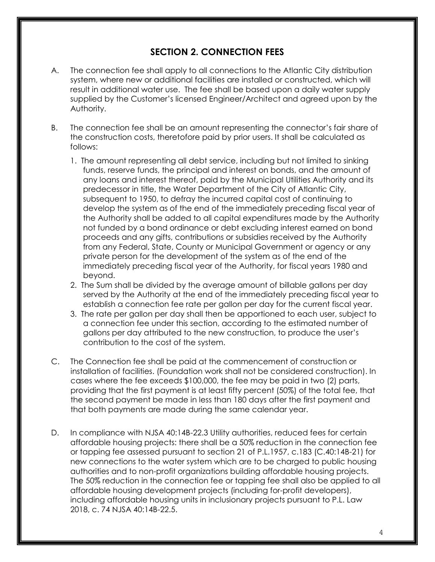## **SECTION 2. CONNECTION FEES**

- A. The connection fee shall apply to all connections to the Atlantic City distribution system, where new or additional facilities are installed or constructed, which will result in additional water use. The fee shall be based upon a daily water supply supplied by the Customer's licensed Engineer/Architect and agreed upon by the Authority.
- B. The connection fee shall be an amount representing the connector's fair share of the construction costs, theretofore paid by prior users. It shall be calculated as follows:
	- 1. The amount representing all debt service, including but not limited to sinking funds, reserve funds, the principal and interest on bonds, and the amount of any loans and interest thereof, paid by the Municipal Utilities Authority and its predecessor in title, the Water Department of the City of Atlantic City, subsequent to 1950, to defray the incurred capital cost of continuing to develop the system as of the end of the immediately preceding fiscal year of the Authority shall be added to all capital expenditures made by the Authority not funded by a bond ordinance or debt excluding interest earned on bond proceeds and any gifts, contributions or subsidies received by the Authority from any Federal, State, County or Municipal Government or agency or any private person for the development of the system as of the end of the immediately preceding fiscal year of the Authority, for fiscal years 1980 and beyond.
	- 2. The Sum shall be divided by the average amount of billable gallons per day served by the Authority at the end of the immediately preceding fiscal year to establish a connection fee rate per gallon per day for the current fiscal year.
	- 3. The rate per gallon per day shall then be apportioned to each user, subject to a connection fee under this section, according to the estimated number of gallons per day attributed to the new construction, to produce the user's contribution to the cost of the system.
- C. The Connection fee shall be paid at the commencement of construction or installation of facilities. (Foundation work shall not be considered construction). In cases where the fee exceeds \$100,000, the fee may be paid in two (2) parts, providing that the first payment is at least fifty percent (50%) of the total fee, that the second payment be made in less than 180 days after the first payment and that both payments are made during the same calendar year.
- D. In compliance with NJSA 40:14B-22.3 Utility authorities, reduced fees for certain affordable housing projects: there shall be a 50% reduction in the connection fee or tapping fee assessed pursuant to section 21 of P.L.1957, c.183 (C.40:14B-21) for new connections to the water system which are to be charged to public housing authorities and to non-profit organizations building affordable housing projects. The 50% reduction in the connection fee or tapping fee shall also be applied to all affordable housing development projects (including for-profit developers), including affordable housing units in inclusionary projects pursuant to P.L. Law 2018, c. 74 NJSA 40:14B-22.5.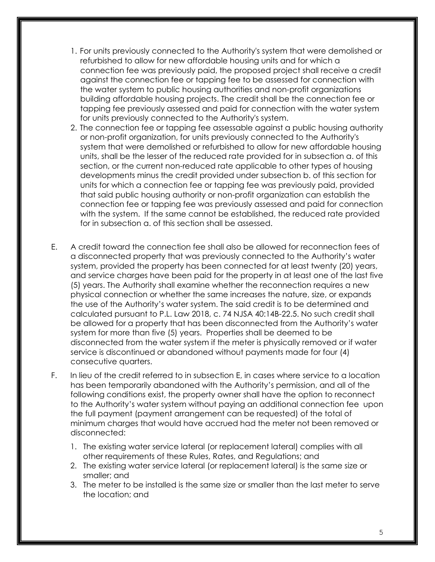- 1. For units previously connected to the Authority's system that were demolished or refurbished to allow for new affordable housing units and for which a connection fee was previously paid, the proposed project shall receive a credit against the connection fee or tapping fee to be assessed for connection with the water system to public housing authorities and non-profit organizations building affordable housing projects. The credit shall be the connection fee or tapping fee previously assessed and paid for connection with the water system for units previously connected to the Authority's system.
- 2. The connection fee or tapping fee assessable against a public housing authority or non-profit organization, for units previously connected to the Authority's system that were demolished or refurbished to allow for new affordable housing units, shall be the lesser of the reduced rate provided for in subsection a. of this section, or the current non-reduced rate applicable to other types of housing developments minus the credit provided under subsection b. of this section for units for which a connection fee or tapping fee was previously paid, provided that said public housing authority or non-profit organization can establish the connection fee or tapping fee was previously assessed and paid for connection with the system. If the same cannot be established, the reduced rate provided for in subsection a. of this section shall be assessed.
- E. A credit toward the connection fee shall also be allowed for reconnection fees of a disconnected property that was previously connected to the Authority's water system, provided the property has been connected for at least twenty (20) years, and service charges have been paid for the property in at least one of the last five (5) years. The Authority shall examine whether the reconnection requires a new physical connection or whether the same increases the nature, size, or expands the use of the Authority's water system. The said credit is to be determined and calculated pursuant to P.L. Law 2018, c. 74 NJSA 40:14B-22.5. No such credit shall be allowed for a property that has been disconnected from the Authority's water system for more than five (5) years. Properties shall be deemed to be disconnected from the water system if the meter is physically removed or if water service is discontinued or abandoned without payments made for four (4) consecutive quarters.
- F. In lieu of the credit referred to in subsection E, in cases where service to a location has been temporarily abandoned with the Authority's permission, and all of the following conditions exist, the property owner shall have the option to reconnect to the Authority's water system without paying an additional connection fee upon the full payment (payment arrangement can be requested) of the total of minimum charges that would have accrued had the meter not been removed or disconnected:
	- 1. The existing water service lateral (or replacement lateral) complies with all other requirements of these Rules, Rates, and Regulations; and
	- 2. The existing water service lateral (or replacement lateral) is the same size or smaller; and
	- 3. The meter to be installed is the same size or smaller than the last meter to serve the location; and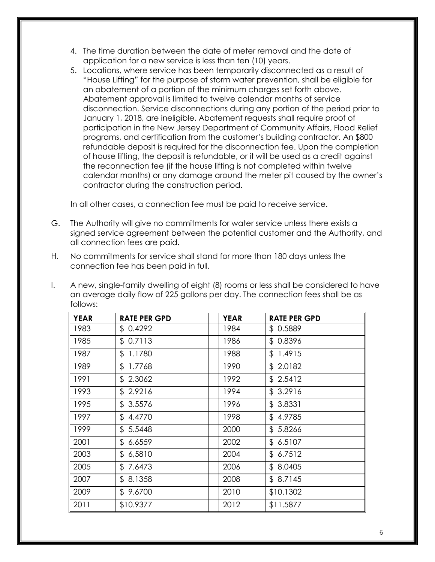- 4. The time duration between the date of meter removal and the date of application for a new service is less than ten (10) years.
- 5. Locations, where service has been temporarily disconnected as a result of "House Lifting" for the purpose of storm water prevention, shall be eligible for an abatement of a portion of the minimum charges set forth above. Abatement approval is limited to twelve calendar months of service disconnection. Service disconnections during any portion of the period prior to January 1, 2018, are ineligible. Abatement requests shall require proof of participation in the New Jersey Department of Community Affairs, Flood Relief programs, and certification from the customer's building contractor. An \$800 refundable deposit is required for the disconnection fee. Upon the completion of house lifting, the deposit is refundable, or it will be used as a credit against the reconnection fee (if the house lifting is not completed within twelve calendar months) or any damage around the meter pit caused by the owner's contractor during the construction period.

In all other cases, a connection fee must be paid to receive service.

- G. The Authority will give no commitments for water service unless there exists a signed service agreement between the potential customer and the Authority, and all connection fees are paid.
- H. No commitments for service shall stand for more than 180 days unless the connection fee has been paid in full.
- I. A new, single-family dwelling of eight (8) rooms or less shall be considered to have an average daily flow of 225 gallons per day. The connection fees shall be as follows:

| <b>YEAR</b> | <b>RATE PER GPD</b> | <b>YEAR</b> | <b>RATE PER GPD</b> |
|-------------|---------------------|-------------|---------------------|
| 1983        | \$0.4292            | 1984        | \$0.5889            |
| 1985        | \$0.7113            | 1986        | \$0.8396            |
| 1987        | \$1.1780            | 1988        | \$1.4915            |
| 1989        | \$1.7768            | 1990        | \$2.0182            |
| 1991        | \$2.3062            | 1992        | \$2.5412            |
| 1993        | \$2.9216            | 1994        | \$3.2916            |
| 1995        | \$3.5576            | 1996        | \$3.8331            |
| 1997        | \$4.4770            | 1998        | \$4.9785            |
| 1999        | \$5.5448            | 2000        | \$5.8266            |
| 2001        | \$6.6559            | 2002        | \$6.5107            |
| 2003        | \$6,5810            | 2004        | \$6.7512            |
| 2005        | \$7.6473            | 2006        | \$8.0405            |
| 2007        | \$8.1358            | 2008        | \$8.7145            |
| 2009        | \$9.6700            | 2010        | \$10.1302           |
| 2011        | \$10.9377           | 2012        | \$11.5877           |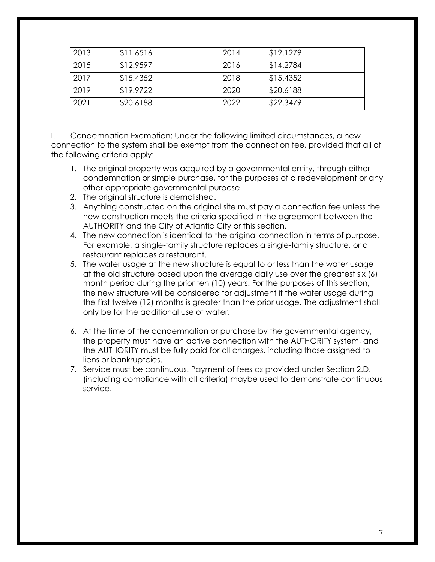| 2013         | \$11.6516 | 2014 | \$12.1279 |
|--------------|-----------|------|-----------|
| $\vert$ 2015 | \$12.9597 | 2016 | \$14.2784 |
| 2017         | \$15.4352 | 2018 | \$15.4352 |
| $\vert$ 2019 | \$19.9722 | 2020 | \$20.6188 |
| 2021         | \$20.6188 | 2022 | \$22.3479 |

I. Condemnation Exemption: Under the following limited circumstances, a new connection to the system shall be exempt from the connection fee, provided that all of the following criteria apply:

- 1. The original property was acquired by a governmental entity, through either condemnation or simple purchase, for the purposes of a redevelopment or any other appropriate governmental purpose.
- 2. The original structure is demolished.
- 3. Anything constructed on the original site must pay a connection fee unless the new construction meets the criteria specified in the agreement between the AUTHORITY and the City of Atlantic City or this section.
- 4. The new connection is identical to the original connection in terms of purpose. For example, a single-family structure replaces a single-family structure, or a restaurant replaces a restaurant.
- 5. The water usage at the new structure is equal to or less than the water usage at the old structure based upon the average daily use over the greatest six (6) month period during the prior ten (10) years. For the purposes of this section, the new structure will be considered for adjustment if the water usage during the first twelve (12) months is greater than the prior usage. The adjustment shall only be for the additional use of water.
- 6. At the time of the condemnation or purchase by the governmental agency, the property must have an active connection with the AUTHORITY system, and the AUTHORITY must be fully paid for all charges, including those assigned to liens or bankruptcies.
- 7. Service must be continuous. Payment of fees as provided under Section 2.D. (including compliance with all criteria) maybe used to demonstrate continuous service.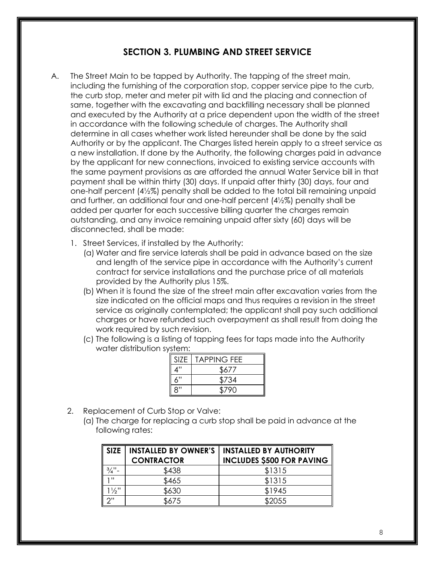# **SECTION 3. PLUMBING AND STREET SERVICE**

- A. The Street Main to be tapped by Authority. The tapping of the street main, including the furnishing of the corporation stop, copper service pipe to the curb, the curb stop, meter and meter pit with lid and the placing and connection of same, together with the excavating and backfilling necessary shall be planned and executed by the Authority at a price dependent upon the width of the street in accordance with the following schedule of charges. The Authority shall determine in all cases whether work listed hereunder shall be done by the said Authority or by the applicant. The Charges listed herein apply to a street service as a new installation. If done by the Authority, the following charges paid in advance by the applicant for new connections, invoiced to existing service accounts with the same payment provisions as are afforded the annual Water Service bill in that payment shall be within thirty (30) days. If unpaid after thirty (30) days, four and one-half percent (4½%) penalty shall be added to the total bill remaining unpaid and further, an additional four and one-half percent (4½%) penalty shall be added per quarter for each successive billing quarter the charges remain outstanding, and any invoice remaining unpaid after sixty (60) days will be disconnected, shall be made:
	- 1. Street Services, if installed by the Authority:
		- (a) Water and fire service laterals shall be paid in advance based on the size and length of the service pipe in accordance with the Authority's current contract for service installations and the purchase price of all materials provided by the Authority plus 15%.
		- (b) When it is found the size of the street main after excavation varies from the size indicated on the official maps and thus requires a revision in the street service as originally contemplated; the applicant shall pay such additional charges or have refunded such overpayment as shall result from doing the work required by such revision.
		- (c) The following is a listing of tapping fees for taps made into the Authority water distribution system:

| <b>SIZE</b> | <b>TAPPING FEE</b> |
|-------------|--------------------|
| ″∆          | \$677              |
| 6"          | \$734              |
| ጸ"          | \$790              |

- 2. Replacement of Curb Stop or Valve:
	- (a) The charge for replacing a curb stop shall be paid in advance at the following rates:

| <b>SIZE</b>      | <b>INSTALLED BY OWNER'S</b><br><b>CONTRACTOR</b> | <b>INSTALLED BY AUTHORITY</b><br><b>INCLUDES \$500 FOR PAVING</b> |
|------------------|--------------------------------------------------|-------------------------------------------------------------------|
| $\frac{3}{4}$ "- | \$438                                            | \$1315                                                            |
| 111              | \$465                                            | \$1315                                                            |
| $1\frac{1}{2}$ " | \$630                                            | \$1945                                                            |
| 2"               | \$675                                            | \$2055                                                            |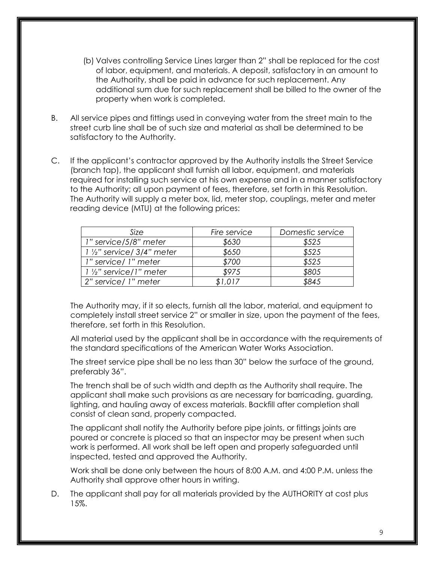- (b) Valves controlling Service Lines larger than 2" shall be replaced for the cost of labor, equipment, and materials. A deposit, satisfactory in an amount to the Authority, shall be paid in advance for such replacement. Any additional sum due for such replacement shall be billed to the owner of the property when work is completed.
- B. All service pipes and fittings used in conveying water from the street main to the street curb line shall be of such size and material as shall be determined to be satisfactory to the Authority.
- C. If the applicant's contractor approved by the Authority installs the Street Service (branch tap), the applicant shall furnish all labor, equipment, and materials required for installing such service at his own expense and in a manner satisfactory to the Authority; all upon payment of fees, therefore, set forth in this Resolution. The Authority will supply a meter box, lid, meter stop, couplings, meter and meter reading device (MTU) at the following prices:

| Size                                                | Fire service | Domestic service |
|-----------------------------------------------------|--------------|------------------|
| 1" service/5/8" meter                               | \$630        | \$525            |
| $1\frac{1}{2}$ " service/ 3/4" meter                | \$650        | \$525            |
| 1" service/ 1" meter                                | \$700        | \$525            |
| $\vert$ 1 $\vert$ / <sub>2</sub> " service/1" meter | \$975        | \$805            |
| 2" service/ 1" meter                                | \$1,017      | \$845            |

The Authority may, if it so elects, furnish all the labor, material, and equipment to completely install street service 2" or smaller in size, upon the payment of the fees, therefore, set forth in this Resolution.

All material used by the applicant shall be in accordance with the requirements of the standard specifications of the American Water Works Association.

The street service pipe shall be no less than 30" below the surface of the ground, preferably 36".

The trench shall be of such width and depth as the Authority shall require. The applicant shall make such provisions as are necessary for barricading, guarding, lighting, and hauling away of excess materials. Backfill after completion shall consist of clean sand, properly compacted.

The applicant shall notify the Authority before pipe joints, or fittings joints are poured or concrete is placed so that an inspector may be present when such work is performed. All work shall be left open and properly safeguarded until inspected, tested and approved the Authority.

Work shall be done only between the hours of 8:00 A.M. and 4:00 P.M. unless the Authority shall approve other hours in writing.

D. The applicant shall pay for all materials provided by the AUTHORITY at cost plus 15%.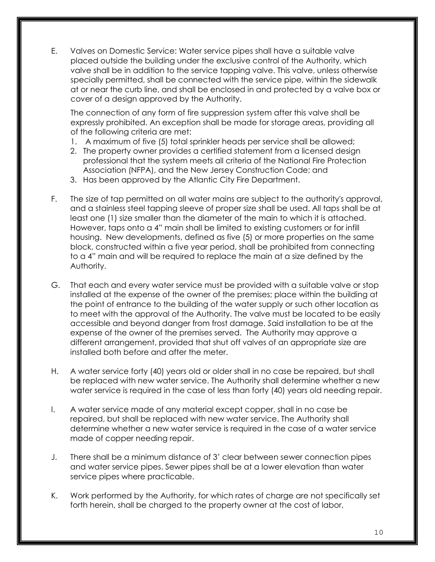E. Valves on Domestic Service: Water service pipes shall have a suitable valve placed outside the building under the exclusive control of the Authority, which valve shall be in addition to the service tapping valve. This valve, unless otherwise specially permitted, shall be connected with the service pipe, within the sidewalk at or near the curb line, and shall be enclosed in and protected by a valve box or cover of a design approved by the Authority.

The connection of any form of fire suppression system after this valve shall be expressly prohibited. An exception shall be made for storage areas, providing all of the following criteria are met:

- 1. A maximum of five (5) total sprinkler heads per service shall be allowed;
- 2. The property owner provides a certified statement from a licensed design professional that the system meets all criteria of the National Fire Protection Association (NFPA), and the New Jersey Construction Code; and
- 3. Has been approved by the Atlantic City Fire Department.
- F. The size of tap permitted on all water mains are subject to the authority's approval, and a stainless steel tapping sleeve of proper size shall be used. All taps shall be at least one (1) size smaller than the diameter of the main to which it is attached. However, taps onto a 4" main shall be limited to existing customers or for infill housing. New developments, defined as five (5) or more properties on the same block, constructed within a five year period, shall be prohibited from connecting to a 4" main and will be required to replace the main at a size defined by the Authority.
- G. That each and every water service must be provided with a suitable valve or stop installed at the expense of the owner of the premises; place within the building at the point of entrance to the building of the water supply or such other location as to meet with the approval of the Authority. The valve must be located to be easily accessible and beyond danger from frost damage. *S*aid installation to be at the expense of the owner of the premises served. The Authority may approve a different arrangement, provided that shut off valves of an appropriate size are installed both before and after the meter.
- H. A water service forty (40) years old or older shall in no case be repaired, but shall be replaced with new water service. The Authority shall determine whether a new water service is required in the case of less than forty (40) years old needing repair.
- I. A water service made of any material except copper, shall in no case be repaired, but shall be replaced with new water service. The Authority shall determine whether a new water service is required in the case of a water service made of copper needing repair.
- J. There shall be a minimum distance of 3' clear between sewer connection pipes and water service pipes. Sewer pipes shall be at a lower elevation than water service pipes where practicable.
- K. Work performed by the Authority, for which rates of charge are not specifically set forth herein, shall be charged to the property owner at the cost of labor,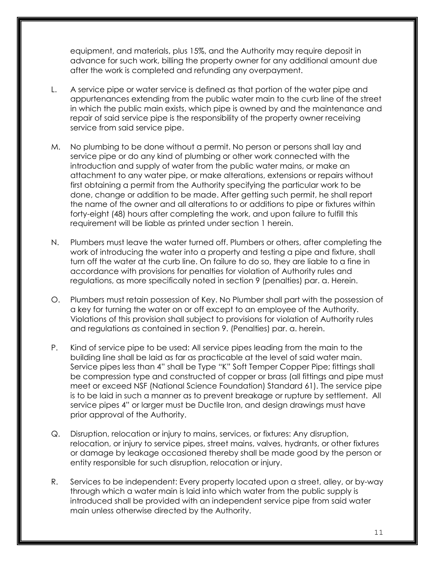equipment, and materials, plus 15%, and the Authority may require deposit in advance for such work, billing the property owner for any additional amount due after the work is completed and refunding any overpayment.

- L. A service pipe or water service is defined as that portion of the water pipe and appurtenances extending from the public water main to the curb line of the street in which the public main exists, which pipe is owned by and the maintenance and repair of said service pipe is the responsibility of the property owner receiving service from said service pipe.
- M. No plumbing to be done without a permit. No person or persons shall lay and service pipe or do any kind of plumbing or other work connected with the introduction and supply of water from the public water mains, or make an attachment to any water pipe, or make alterations, extensions or repairs without first obtaining a permit from the Authority specifying the particular work to be done, change or addition to be made. After getting such permit, he shall report the name of the owner and all alterations to or additions to pipe or fixtures within forty-eight (48) hours after completing the work, and upon failure to fulfill this requirement will be liable as printed under section 1 herein.
- N. Plumbers must leave the water turned off. Plumbers or others, after completing the work of introducing the water into a property and testing a pipe and fixture, shall turn off the water at the curb line. On failure to do so, they are liable to a fine in accordance with provisions for penalties for violation of Authority rules and regulations, as more specifically noted in section 9 (penalties) par. a. Herein.
- O. Plumbers must retain possession of Key. No Plumber shall part with the possession of a key for turning the water on or off except to an employee of the Authority. Violations of this provision shall subject to provisions for violation of Authority rules and regulations as contained in section 9. (Penalties) par. a. herein.
- P. Kind of service pipe to be used: All service pipes leading from the main to the building line shall be laid as far as practicable at the level of said water main. Service pipes less than 4" shall be Type "K" Soft Temper Copper Pipe; fittings shall be compression type and constructed of copper or brass (all fittings and pipe must meet or exceed NSF (National Science Foundation) Standard 61). The service pipe is to be laid in such a manner as to prevent breakage or rupture by settlement. All service pipes 4" or larger must be Ductile Iron, and design drawings must have prior approval of the Authority.
- Q. Disruption, relocation or injury to mains, services, or fixtures: Any disruption, relocation, or injury to service pipes, street mains, valves, hydrants, or other fixtures or damage by leakage occasioned thereby shall be made good by the person or entity responsible for such disruption, relocation or injury.
- R. Services to be independent: Every property located upon a street, alley, or by-way through which a water main is laid into which water from the public supply is introduced shall be provided with an independent service pipe from said water main unless otherwise directed by the Authority.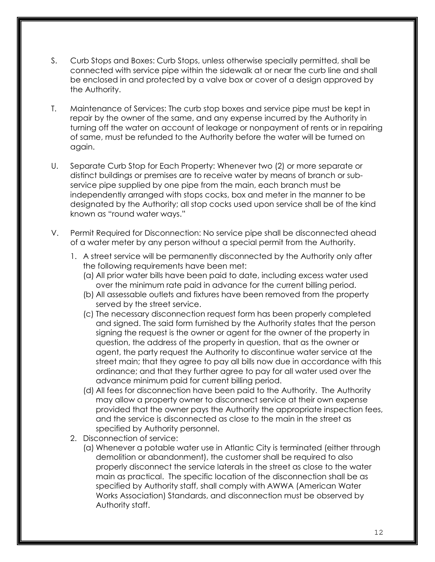- S. Curb Stops and Boxes: Curb Stops, unless otherwise specially permitted, shall be connected with service pipe within the sidewalk at or near the curb line and shall be enclosed in and protected by a valve box or cover of a design approved by the Authority.
- T. Maintenance of Services: The curb stop boxes and service pipe must be kept in repair by the owner of the same, and any expense incurred by the Authority in turning off the water on account of leakage or nonpayment of rents or in repairing of same, must be refunded to the Authority before the water will be turned on again.
- U. Separate Curb Stop for Each Property: Whenever two (2) or more separate or distinct buildings or premises are to receive water by means of branch or subservice pipe supplied by one pipe from the main, each branch must be independently arranged with stops cocks, box and meter in the manner to be designated by the Authority; all stop cocks used upon service shall be of the kind known as "round water ways."
- V. Permit Required for Disconnection: No service pipe shall be disconnected ahead of a water meter by any person without a special permit from the Authority.
	- 1. A street service will be permanently disconnected by the Authority only after the following requirements have been met:
		- (a) All prior water bills have been paid to date, including excess water used over the minimum rate paid in advance for the current billing period.
		- (b) All assessable outlets and fixtures have been removed from the property served by the street service.
		- (c) The necessary disconnection request form has been properly completed and signed. The said form furnished by the Authority states that the person signing the request is the owner or agent for the owner of the property in question, the address of the property in question, that as the owner or agent, the party request the Authority to discontinue water service at the street main; that they agree to pay all bills now due in accordance with this ordinance; and that they further agree to pay for all water used over the advance minimum paid for current billing period.
		- (d) All fees for disconnection have been paid to the Authority. The Authority may allow a property owner to disconnect service at their own expense provided that the owner pays the Authority the appropriate inspection fees, and the service is disconnected as close to the main in the street as specified by Authority personnel.
	- 2. Disconnection of service:
		- (a) Whenever a potable water use in Atlantic City is terminated (either through demolition or abandonment), the customer shall be required to also properly disconnect the service laterals in the street as close to the water main as practical. The specific location of the disconnection shall be as specified by Authority staff, shall comply with AWWA (American Water Works Association) Standards, and disconnection must be observed by Authority staff.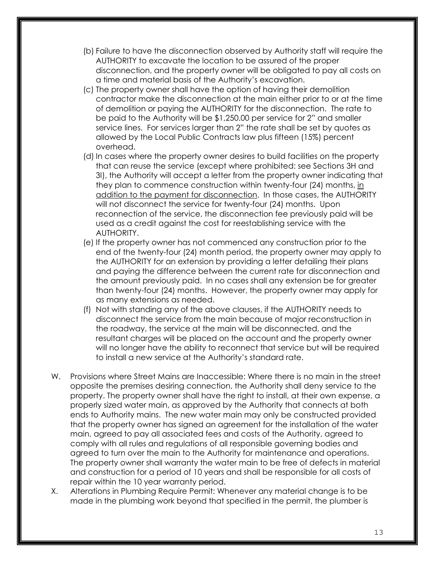- (b) Failure to have the disconnection observed by Authority staff will require the AUTHORITY to excavate the location to be assured of the proper disconnection, and the property owner will be obligated to pay all costs on a time and material basis of the Authority's excavation.
- (c) The property owner shall have the option of having their demolition contractor make the disconnection at the main either prior to or at the time of demolition or paying the AUTHORITY for the disconnection. The rate to be paid to the Authority will be \$1,250.00 per service for 2" and smaller service lines. For services larger than 2" the rate shall be set by quotes as allowed by the Local Public Contracts law plus fifteen (15%) percent overhead.
- (d) In cases where the property owner desires to build facilities on the property that can reuse the service (except where prohibited: see Sections 3H and 3I), the Authority will accept a letter from the property owner indicating that they plan to commence construction within twenty-four (24) months, in addition to the payment for disconnection. In those cases, the AUTHORITY will not disconnect the service for twenty-four (24) months. Upon reconnection of the service, the disconnection fee previously paid will be used as a credit against the cost for reestablishing service with the AUTHORITY.
- (e) If the property owner has not commenced any construction prior to the end of the twenty-four (24) month period, the property owner may apply to the AUTHORITY for an extension by providing a letter detailing their plans and paying the difference between the current rate for disconnection and the amount previously paid. In no cases shall any extension be for greater than twenty-four (24) months. However, the property owner may apply for as many extensions as needed.
- (f) Not with standing any of the above clauses, if the AUTHORITY needs to disconnect the service from the main because of major reconstruction in the roadway, the service at the main will be disconnected, and the resultant charges will be placed on the account and the property owner will no longer have the ability to reconnect that service but will be required to install a new service at the Authority's standard rate.
- W. Provisions where Street Mains are Inaccessible: Where there is no main in the street opposite the premises desiring connection, the Authority shall deny service to the property. The property owner shall have the right to install, at their own expense, a properly sized water main, as approved by the Authority that connects at both ends to Authority mains. The new water main may only be constructed provided that the property owner has signed an agreement for the installation of the water main, agreed to pay all associated fees and costs of the Authority, agreed to comply with all rules and regulations of all responsible governing bodies and agreed to turn over the main to the Authority for maintenance and operations. The property owner shall warranty the water main to be free of defects in material and construction for a period of 10 years and shall be responsible for all costs of repair within the 10 year warranty period.
- X. Alterations in Plumbing Require Permit: Whenever any material change is to be made in the plumbing work beyond that specified in the permit, the plumber is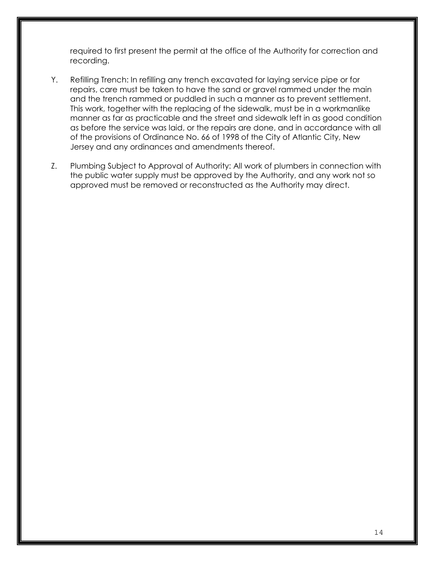required to first present the permit at the office of the Authority for correction and recording.

- Y. Refilling Trench: In refilling any trench excavated for laying service pipe or for repairs, care must be taken to have the sand or gravel rammed under the main and the trench rammed or puddled in such a manner as to prevent settlement. This work, together with the replacing of the sidewalk, must be in a workmanlike manner as far as practicable and the street and sidewalk left in as good condition as before the service was laid, or the repairs are done, and in accordance with all of the provisions of Ordinance No. 66 of 1998 of the City of Atlantic City, New Jersey and any ordinances and amendments thereof.
- Z. Plumbing Subject to Approval of Authority: All work of plumbers in connection with the public water supply must be approved by the Authority, and any work not so approved must be removed or reconstructed as the Authority may direct.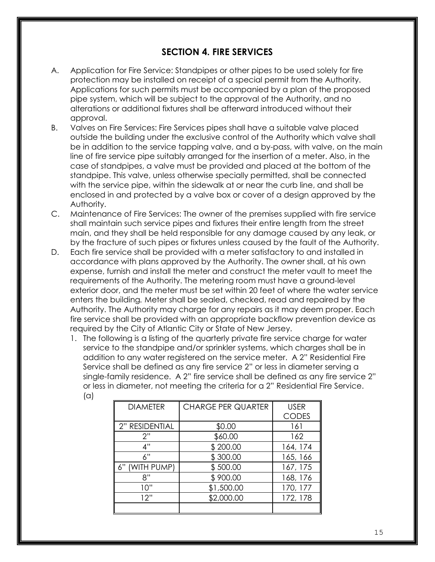### **SECTION 4. FIRE SERVICES**

- A. Application for Fire Service: Standpipes or other pipes to be used solely for fire protection may be installed on receipt of a special permit from the Authority. Applications for such permits must be accompanied by a plan of the proposed pipe system, which will be subject to the approval of the Authority, and no alterations or additional fixtures shall be afterward introduced without their approval.
- B. Valves on Fire Services: Fire Services pipes shall have a suitable valve placed outside the building under the exclusive control of the Authority which valve shall be in addition to the service tapping valve, and a by-pass, with valve, on the main line of fire service pipe suitably arranged for the insertion of a meter. Also, in the case of standpipes, a valve must be provided and placed at the bottom of the standpipe. This valve, unless otherwise specially permitted, shall be connected with the service pipe, within the sidewalk at or near the curb line, and shall be enclosed in and protected by a valve box or cover of a design approved by the Authority.
- C. Maintenance of Fire Services: The owner of the premises supplied with fire service shall maintain such service pipes and fixtures their entire length from the street main, and they shall be held responsible for any damage caused by any leak, or by the fracture of such pipes or fixtures unless caused by the fault of the Authority.
- D. Each fire service shall be provided with a meter satisfactory to and installed in accordance with plans approved by the Authority. The owner shall, at his own expense, furnish and install the meter and construct the meter vault to meet the requirements of the Authority. The metering room must have a ground-level exterior door, and the meter must be set within 20 feet of where the water service enters the building*.* Meter shall be sealed, checked, read and repaired by the Authority. The Authority may charge for any repairs as it may deem proper. Each fire service shall be provided with an appropriate backflow prevention device as required by the City of Atlantic City or State of New Jersey.
	- 1. The following is a listing of the quarterly private fire service charge for water service to the standpipe and/or sprinkler systems, which charges shall be in addition to any water registered on the service meter. A 2" Residential Fire Service shall be defined as any fire service 2" or less in diameter serving a single-family residence. A 2" fire service shall be defined as any fire service 2" or less in diameter, not meeting the criteria for a 2" Residential Fire Service. (a)

| <b>DIAMETER</b> | <b>CHARGE PER QUARTER</b> | <b>USER</b>  |
|-----------------|---------------------------|--------------|
|                 |                           | <b>CODES</b> |
| 2" RESIDENTIAL  | \$0.00                    | 161          |
| 2"              | \$60.00                   | 162          |
| 4"              | \$200.00                  | 164, 174     |
| 6"              | \$300.00                  | 165, 166     |
| (WITH PUMP)     | \$500.00                  | 167, 175     |
| 8"              | \$900.00                  | 168, 176     |
| 10"             | \$1,500.00                | 170, 177     |
| 12"             | \$2,000.00                | 172, 178     |
|                 |                           |              |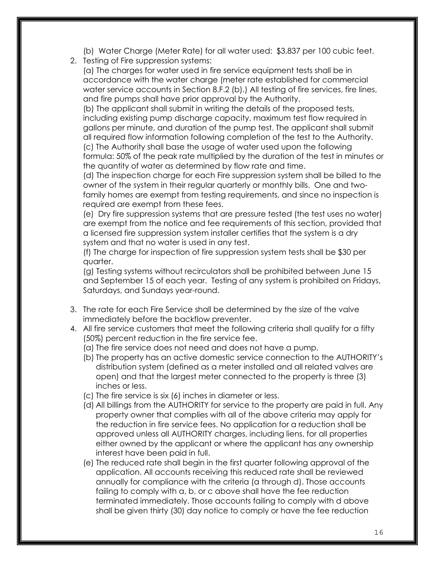(b) Water Charge (Meter Rate) for all water used: \$3.837 per 100 cubic feet.

2. Testing of Fire suppression systems:

 (a) The charges for water used in fire service equipment tests shall be in accordance with the water charge (meter rate established for commercial water service accounts in Section 8.F.2 (b).) All testing of fire services, fire lines, and fire pumps shall have prior approval by the Authority.

 (b) The applicant shall submit in writing the details of the proposed tests, including existing pump discharge capacity, maximum test flow required in gallons per minute, and duration of the pump test. The applicant shall submit all required flow information following completion of the test to the Authority. (c) The Authority shall base the usage of water used upon the following formula: 50% of the peak rate multiplied by the duration of the test in minutes or the quantity of water as determined by flow rate and time.

 (d) The inspection charge for each Fire suppression system shall be billed to the owner of the system in their regular quarterly or monthly bills. One and twofamily homes are exempt from testing requirements, and since no inspection is required are exempt from these fees.

(e) Dry fire suppression systems that are pressure tested (the test uses no water) are exempt from the notice and fee requirements of this section, provided that a licensed fire suppression system installer certifies that the system is a dry system and that no water is used in any test.

 (f) The charge for inspection of fire suppression system tests shall be \$30 per quarter.

 (g) Testing systems without recirculators shall be prohibited between June 15 and September 15 of each year. Testing of any system is prohibited on Fridays, Saturdays, and Sundays year-round.

- 3. The rate for each Fire Service shall be determined by the size of the valve immediately before the backflow preventer.
- 4. All fire service customers that meet the following criteria shall qualify for a fifty (50%) percent reduction in the fire service fee.
	- (a) The fire service does not need and does not have a pump.
	- (b) The property has an active domestic service connection to the AUTHORITY's distribution system (defined as a meter installed and all related valves are open) and that the largest meter connected to the property is three (3) inches or less.
	- (c) The fire service is six (6) inches in diameter or less.
	- (d) All billings from the AUTHORITY for service to the property are paid in full. Any property owner that complies with all of the above criteria may apply for the reduction in fire service fees. No application for a reduction shall be approved unless all AUTHORITY charges, including liens, for all properties either owned by the applicant or where the applicant has any ownership interest have been paid in full.
	- (e) The reduced rate shall begin in the first quarter following approval of the application. All accounts receiving this reduced rate shall be reviewed annually for compliance with the criteria (a through d). Those accounts failing to comply with a, b, or c above shall have the fee reduction terminated immediately. Those accounts failing to comply with d above shall be given thirty (30) day notice to comply or have the fee reduction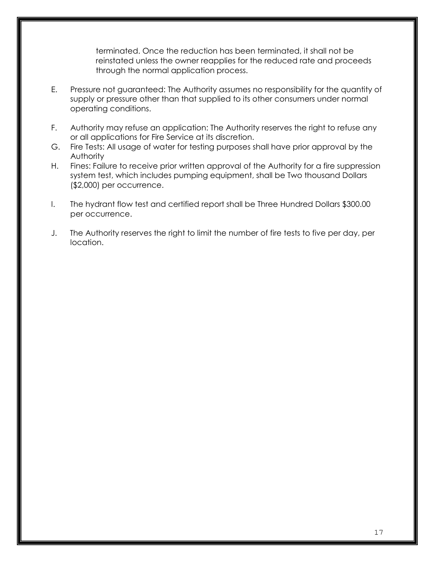terminated. Once the reduction has been terminated, it shall not be reinstated unless the owner reapplies for the reduced rate and proceeds through the normal application process.

- E. Pressure not guaranteed: The Authority assumes no responsibility for the quantity of supply or pressure other than that supplied to its other consumers under normal operating conditions.
- F. Authority may refuse an application: The Authority reserves the right to refuse any or all applications for Fire Service at its discretion.
- G. Fire Tests: All usage of water for testing purposes shall have prior approval by the Authority
- H. Fines: Failure to receive prior written approval of the Authority for a fire suppression system test, which includes pumping equipment, shall be Two thousand Dollars (\$2,000) per occurrence.
- I. The hydrant flow test and certified report shall be Three Hundred Dollars \$300.00 per occurrence.
- J. The Authority reserves the right to limit the number of fire tests to five per day, per location.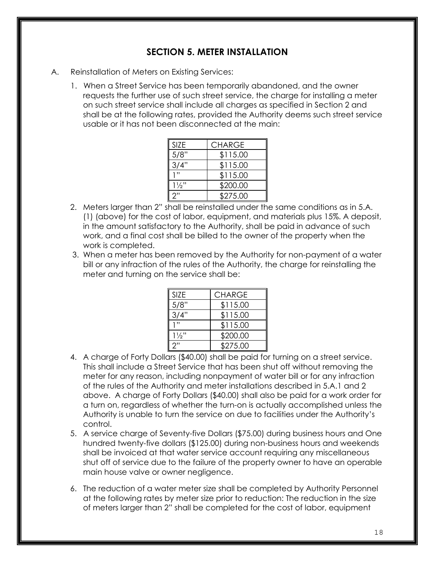## **SECTION 5. METER INSTALLATION**

- A. Reinstallation of Meters on Existing Services:
	- 1. When a Street Service has been temporarily abandoned, and the owner requests the further use of such street service, the charge for installing a meter on such street service shall include all charges as specified in Section 2 and shall be at the following rates, provided the Authority deems such street service usable or it has not been disconnected at the main:

| SIZE           | <b>CHARGE</b> |
|----------------|---------------|
| 5/8"           | \$115.00      |
| 3/4"           | \$115.00      |
| 1"             | \$115.00      |
| $1\frac{1}{2}$ | \$200.00      |
| 2"             | \$275.00      |

- 2. Meters larger than 2" shall be reinstalled under the same conditions as in 5.A. (1) (above) for the cost of labor, equipment, and materials plus 15%. A deposit, in the amount satisfactory to the Authority, shall be paid in advance of such work, and a final cost shall be billed to the owner of the property when the work is completed.
- 3. When a meter has been removed by the Authority for non-payment of a water bill or any infraction of the rules of the Authority, the charge for reinstalling the meter and turning on the service shall be:

| <b>SIZE</b>    | <b>CHARGE</b> |
|----------------|---------------|
| 5/8"           | \$115.00      |
| 3/4"           | \$115.00      |
| 1"             | \$115.00      |
| $1\frac{1}{2}$ | \$200.00      |
| つ"             | \$275.00      |

- 4. A charge of Forty Dollars (\$40.00) shall be paid for turning on a street service. This shall include a Street Service that has been shut off without removing the meter for any reason, including nonpayment of water bill or for any infraction of the rules of the Authority and meter installations described in 5.A.1 and 2 above. A charge of Forty Dollars (\$40.00) shall also be paid for a work order for a turn on, regardless of whether the turn-on is actually accomplished unless the Authority is unable to turn the service on due to facilities under the Authority's control.
- 5. A service charge of Seventy-five Dollars (\$75.00) during business hours and One hundred twenty-five dollars (\$125.00) during non-business hours and weekends shall be invoiced at that water service account requiring any miscellaneous shut off of service due to the failure of the property owner to have an operable main house valve or owner negligence.
- 6. The reduction of a water meter size shall be completed by Authority Personnel at the following rates by meter size prior to reduction: The reduction in the size of meters larger than 2" shall be completed for the cost of labor, equipment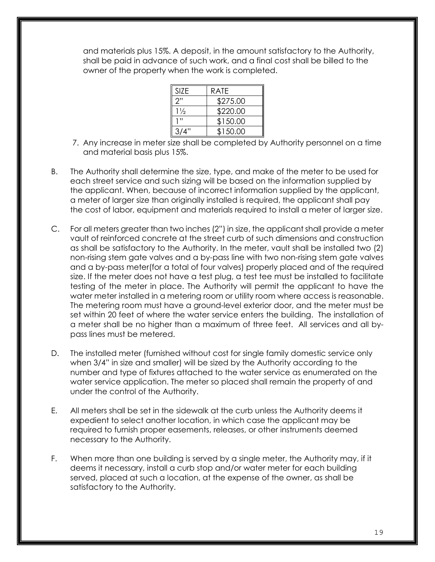and materials plus 15%. A deposit, in the amount satisfactory to the Authority, shall be paid in advance of such work, and a final cost shall be billed to the owner of the property when the work is completed.

| SI7F.          | <b>RATE</b> |
|----------------|-------------|
| ን"             | \$275.00    |
| $1\frac{1}{2}$ | \$220.00    |
| יי ו           | \$150.00    |
| 3/4"           | \$150.00    |

- 7. Any increase in meter size shall be completed by Authority personnel on a time and material basis plus 15%.
- B. The Authority shall determine the size, type, and make of the meter to be used for each street service and such sizing will be based on the information supplied by the applicant. When, because of incorrect information supplied by the applicant, a meter of larger size than originally installed is required, the applicant shall pay the cost of labor, equipment and materials required to install a meter of larger size.
- C. For all meters greater than two inches (2") in size, the applicant shall provide a meter vault of reinforced concrete at the street curb of such dimensions and construction as shall be satisfactory to the Authority. In the meter, vault shall be installed two (2) non-rising stem gate valves and a by-pass line with two non-rising stem gate valves and a by-pass meter(for a total of four valves) properly placed and of the required size. If the meter does not have a test plug, a test tee must be installed to facilitate testing of the meter in place. The Authority will permit the applicant to have the water meter installed in a metering room or utility room where access is reasonable. The metering room must have a ground-level exterior door, and the meter must be set within 20 feet of where the water service enters the building. The installation of a meter shall be no higher than a maximum of three feet. All services and all bypass lines must be metered.
- D. The installed meter (furnished without cost for single family domestic service only when 3/4" in size and smaller) will be sized by the Authority according to the number and type of fixtures attached to the water service as enumerated on the water service application. The meter so placed shall remain the property of and under the control of the Authority.
- E. All meters shall be set in the sidewalk at the curb unless the Authority deems it expedient to select another location, in which case the applicant may be required to furnish proper easements, releases, or other instruments deemed necessary to the Authority.
- F. When more than one building is served by a single meter, the Authority may, if it deems it necessary, install a curb stop and/or water meter for each building served, placed at such a location, at the expense of the owner, as shall be satisfactory to the Authority.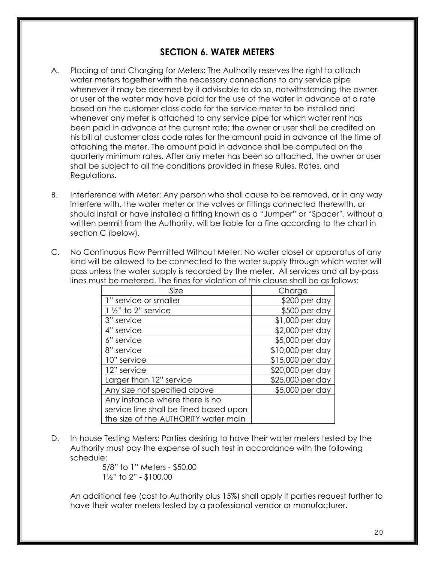### **SECTION 6. WATER METERS**

- A. Placing of and Charging for Meters: The Authority reserves the right to attach water meters together with the necessary connections to any service pipe whenever it may be deemed by it advisable to do so, notwithstanding the owner or user of the water may have paid for the use of the water in advance at a rate based on the customer class code for the service meter to be installed and whenever any meter is attached to any service pipe for which water rent has been paid in advance at the current rate; the owner or user shall be credited on his bill at customer class code rates for the amount paid in advance at the time of attaching the meter. The amount paid in advance shall be computed on the quarterly minimum rates. After any meter has been so attached, the owner or user shall be subject to all the conditions provided in these Rules, Rates, and Regulations.
- B. Interference with Meter: Any person who shall cause to be removed, or in any way interfere with, the water meter or the valves or fittings connected therewith, or should install or have installed a fitting known as a "Jumper" or "Spacer", without a written permit from the Authority, will be liable for a fine according to the chart in section C (below).
- C. No Continuous Flow Permitted Without Meter: No water closet or apparatus of any kind will be allowed to be connected to the water supply through which water will pass unless the water supply is recorded by the meter. All services and all by-pass lines must be metered. The fines for violation of this clause shall be as follows:

| Size                                   | Charge           |
|----------------------------------------|------------------|
| 1" service or smaller                  | $$200$ per day   |
| $1\frac{1}{2}$ " to 2" service         | $$500$ per day   |
| 3" service                             | \$1,000 per day  |
| 4" service                             | \$2,000 per day  |
| 6" service                             | \$5,000 per day  |
| 8" service                             | \$10,000 per day |
| 10" service                            | \$15,000 per day |
| 12" service                            | \$20,000 per day |
| Larger than 12" service                | \$25,000 per day |
| Any size not specified above           | \$5,000 per day  |
| Any instance where there is no         |                  |
| service line shall be fined based upon |                  |
| the size of the AUTHORITY water main   |                  |

D. In-house Testing Meters: Parties desiring to have their water meters tested by the Authority must pay the expense of such test in accordance with the following schedule:

 5/8" to 1" Meters - \$50.00 1½" to 2" - \$100.00

An additional fee (cost to Authority plus 15%) shall apply if parties request further to have their water meters tested by a professional vendor or manufacturer.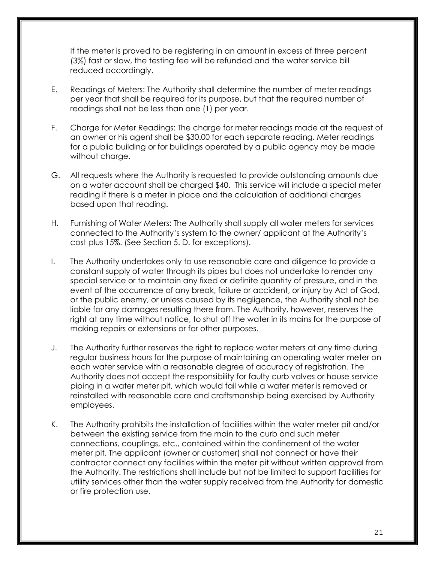If the meter is proved to be registering in an amount in excess of three percent (3%) fast or slow, the testing fee will be refunded and the water service bill reduced accordingly.

- E. Readings of Meters: The Authority shall determine the number of meter readings per year that shall be required for its purpose, but that the required number of readings shall not be less than one (1) per year.
- F. Charge for Meter Readings: The charge for meter readings made at the request of an owner or his agent shall be \$30.00 for each separate reading. Meter readings for a public building or for buildings operated by a public agency may be made without charge.
- G. All requests where the Authority is requested to provide outstanding amounts due on a water account shall be charged \$40. This service will include a special meter reading if there is a meter in place and the calculation of additional charges based upon that reading.
- H. Furnishing of Water Meters: The Authority shall supply all water meters for services connected to the Authority's system to the owner/ applicant at the Authority's cost plus 15%. (See Section 5. D. for exceptions).
- I. The Authority undertakes only to use reasonable care and diligence to provide a constant supply of water through its pipes but does not undertake to render any special service or to maintain any fixed or definite quantity of pressure, and in the event of the occurrence of any break, failure or accident, or injury by Act of God, or the public enemy, or unless caused by its negligence, the Authority shall not be liable for any damages resulting there from. The Authority, however, reserves the right at any time without notice, to shut off the water in its mains for the purpose of making repairs or extensions or for other purposes.
- J. The Authority further reserves the right to replace water meters at any time during regular business hours for the purpose of maintaining an operating water meter on each water service with a reasonable degree of accuracy of registration. The Authority does not accept the responsibility for faulty curb valves or house service piping in a water meter pit, which would fail while a water meter is removed or reinstalled with reasonable care and craftsmanship being exercised by Authority employees.
- K. The Authority prohibits the installation of facilities within the water meter pit and/or between the existing service from the main to the curb and such meter connections, couplings, etc., contained within the confinement of the water meter pit. The applicant (owner or customer) shall not connect or have their contractor connect any facilities within the meter pit without written approval from the Authority. The restrictions shall include but not be limited to support facilities for utility services other than the water supply received from the Authority for domestic or fire protection use.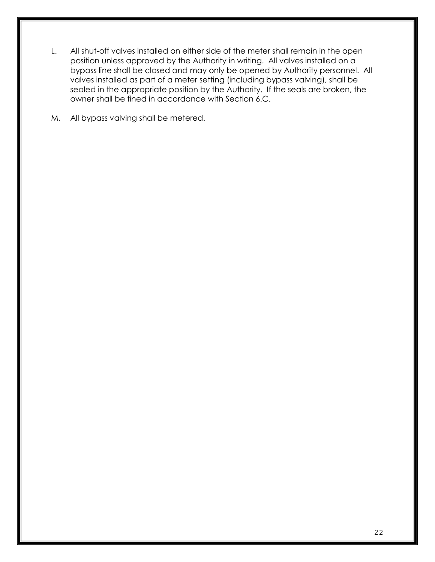- L. All shut-off valves installed on either side of the meter shall remain in the open position unless approved by the Authority in writing. All valves installed on a bypass line shall be closed and may only be opened by Authority personnel. All valves installed as part of a meter setting (including bypass valving), shall be sealed in the appropriate position by the Authority. If the seals are broken, the owner shall be fined in accordance with Section 6.C.
- M. All bypass valving shall be metered.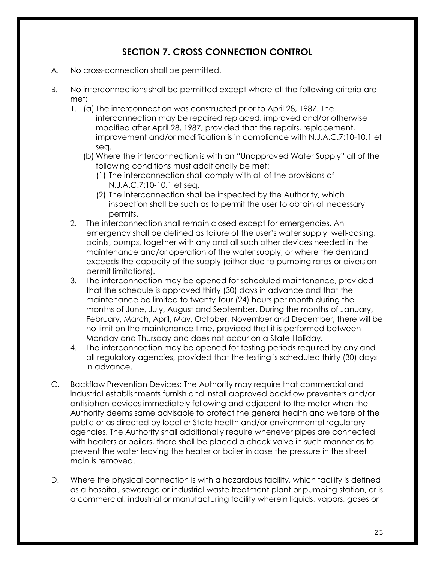# **SECTION 7. CROSS CONNECTION CONTROL**

- A. No cross-connection shall be permitted.
- B. No interconnections shall be permitted except where all the following criteria are met:
	- 1. (a) The interconnection was constructed prior to April 28, 1987. The interconnection may be repaired replaced, improved and/or otherwise modified after April 28, 1987, provided that the repairs, replacement, improvement and/or modification is in compliance with N.J.A.C.7:10-10.1 et seq.
		- (b) Where the interconnection is with an "Unapproved Water Supply" all of the following conditions must additionally be met:
			- (1) The interconnection shall comply with all of the provisions of N.J.A.C.7:10-10.1 et seq.
			- (2) The interconnection shall be inspected by the Authority, which inspection shall be such as to permit the user to obtain all necessary permits.
	- 2. The interconnection shall remain closed except for emergencies. An emergency shall be defined as failure of the user's water supply, well-casing, points, pumps, together with any and all such other devices needed in the maintenance and/or operation of the water supply; or where the demand exceeds the capacity of the supply (either due to pumping rates or diversion permit limitations).
	- 3. The interconnection may be opened for scheduled maintenance, provided that the schedule is approved thirty (30) days in advance and that the maintenance be limited to twenty-four (24) hours per month during the months of June, July, August and September. During the months of January, February, March, April, May, October, November and December, there will be no limit on the maintenance time, provided that it is performed between Monday and Thursday and does not occur on a State Holiday.
	- 4. The interconnection may be opened for testing periods required by any and all regulatory agencies, provided that the testing is scheduled thirty (30) days in advance.
- C. Backflow Prevention Devices: The Authority may require that commercial and industrial establishments furnish and install approved backflow preventers and/or antisiphon devices immediately following and adjacent to the meter when the Authority deems same advisable to protect the general health and welfare of the public or as directed by local or State health and/or environmental regulatory agencies. The Authority shall additionally require whenever pipes are connected with heaters or boilers, there shall be placed a check valve in such manner as to prevent the water leaving the heater or boiler in case the pressure in the street main is removed.
- D. Where the physical connection is with a hazardous facility, which facility is defined as a hospital, sewerage or industrial waste treatment plant or pumping station, or is a commercial, industrial or manufacturing facility wherein liquids, vapors, gases or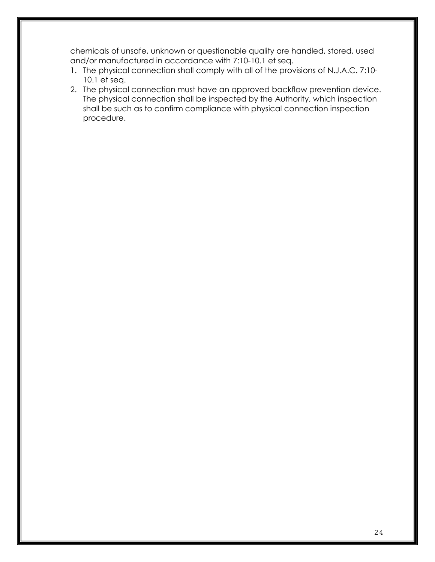chemicals of unsafe, unknown or questionable quality are handled, stored, used and/or manufactured in accordance with 7:10-10.1 et seq.

- 1. The physical connection shall comply with all of the provisions of N.J.A.C. 7:10- 10.1 et seq.
- 2. The physical connection must have an approved backflow prevention device. The physical connection shall be inspected by the Authority, which inspection shall be such as to confirm compliance with physical connection inspection procedure.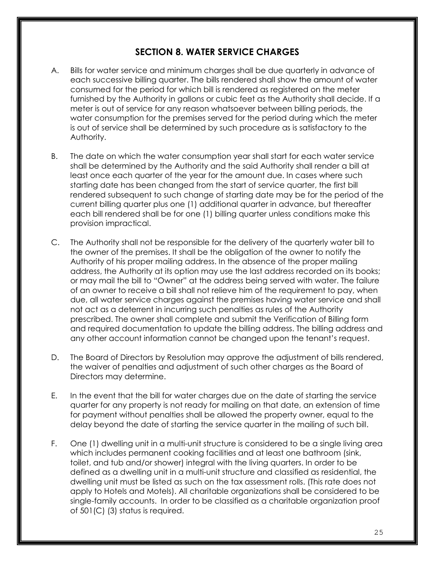## **SECTION 8. WATER SERVICE CHARGES**

- A. Bills for water service and minimum charges shall be due quarterly in advance of each successive billing quarter. The bills rendered shall show the amount of water consumed for the period for which bill is rendered as registered on the meter furnished by the Authority in gallons or cubic feet as the Authority shall decide. If a meter is out of service for any reason whatsoever between billing periods, the water consumption for the premises served for the period during which the meter is out of service shall be determined by such procedure as is satisfactory to the Authority.
- B. The date on which the water consumption year shall start for each water service shall be determined by the Authority and the said Authority shall render a bill at least once each quarter of the year for the amount due. In cases where such starting date has been changed from the start of service quarter, the first bill rendered subsequent to such change of starting date may be for the period of the current billing quarter plus one (1) additional quarter in advance, but thereafter each bill rendered shall be for one (1) billing quarter unless conditions make this provision impractical.
- C. The Authority shall not be responsible for the delivery of the quarterly water bill to the owner of the premises. It shall be the obligation of the owner to notify the Authority of his proper mailing address. In the absence of the proper mailing address, the Authority at its option may use the last address recorded on its books; or may mail the bill to "Owner" at the address being served with water. The failure of an owner to receive a bill shall not relieve him of the requirement to pay, when due, all water service charges against the premises having water service and shall not act as a deterrent in incurring such penalties as rules of the Authority prescribed. The owner shall complete and submit the Verification of Billing form and required documentation to update the billing address. The billing address and any other account information cannot be changed upon the tenant's request.
- D. The Board of Directors by Resolution may approve the adjustment of bills rendered, the waiver of penalties and adjustment of such other charges as the Board of Directors may determine.
- E. In the event that the bill for water charges due on the date of starting the service quarter for any property is not ready for mailing on that date, an extension of time for payment without penalties shall be allowed the property owner, equal to the delay beyond the date of starting the service quarter in the mailing of such bill.
- F. One (1) dwelling unit in a multi-unit structure is considered to be a single living area which includes permanent cooking facilities and at least one bathroom (sink, toilet, and tub and/or shower) integral with the living quarters. In order to be defined as a dwelling unit in a multi-unit structure and classified as residential, the dwelling unit must be listed as such on the tax assessment rolls. (This rate does not apply to Hotels and Motels). All charitable organizations shall be considered to be single-family accounts. In order to be classified as a charitable organization proof of 501(C) (3) status is required.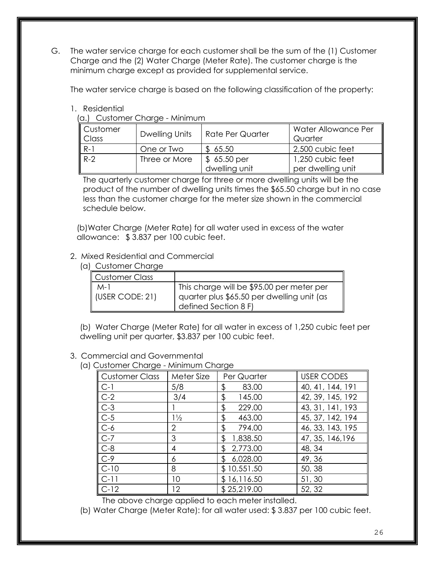G. The water service charge for each customer shall be the sum of the (1) Customer Charge and the (2) Water Charge (Meter Rate). The customer charge is the minimum charge except as provided for supplemental service.

The water service charge is based on the following classification of the property:

#### 1. Residential

(a.) Customer Charge - Minimum

| $\parallel$ Customer<br><b>Class</b> | Dwelling Units | <b>Rate Per Quarter</b> | Water Allowance Per<br>Quarter |
|--------------------------------------|----------------|-------------------------|--------------------------------|
| ll R-1                               | One or Two     | \$65.50                 | 2,500 cubic feet               |
| $R-2$                                | Three or More  | \$65.50 per             | 1,250 cubic feet               |
|                                      |                | dwelling unit           | per dwelling unit              |

The quarterly customer charge for three or more dwelling units will be the product of the number of dwelling units times the \$65.50 charge but in no case less than the customer charge for the meter size shown in the commercial schedule below.

(b)Water Charge (Meter Rate) for all water used in excess of the water allowance: \$ 3.837 per 100 cubic feet.

#### 2. Mixed Residential and Commercial

| <b>Customer Charge</b>   |                                                                                                                 |
|--------------------------|-----------------------------------------------------------------------------------------------------------------|
| <b>Customer Class</b>    |                                                                                                                 |
| $M-1$<br>(USER CODE: 21) | This charge will be \$95.00 per meter per<br>quarter plus \$65.50 per dwelling unit (as<br>defined Section 8 F) |

(b) Water Charge (Meter Rate) for all water in excess of 1,250 cubic feet per dwelling unit per quarter, \$3.837 per 100 cubic feet.

#### 3. Commercial and Governmental

(a) Customer Charge - Minimum Charge

| <b>Customer Class</b> | Meter Size     | Per Quarter    | <b>USER CODES</b> |
|-----------------------|----------------|----------------|-------------------|
| $C-1$                 | 5/8            | \$<br>83.00    | 40, 41, 144, 191  |
| $C-2$                 | 3/4            | 145.00<br>\$   | 42, 39, 145, 192  |
| $C-3$                 |                | 229.00<br>\$   | 43, 31, 141, 193  |
| $C-5$                 | $1\frac{1}{2}$ | \$<br>463.00   | 45, 37, 142, 194  |
| $C-6$                 | 2              | \$<br>794.00   | 46, 33, 143, 195  |
| $C-7$                 | 3              | 1,838.50<br>\$ | 47, 35, 146, 196  |
| $C-8$                 | 4              | 2,773.00<br>£. | 48, 34            |
| $C-9$                 | 6              | 6,028.00<br>£. | 49, 36            |
| $C-10$                | 8              | \$10,551.50    | 50, 38            |
| $C-11$                | 10             | \$16,116.50    | 51,30             |
| $C-12$                | 12             | \$25,219.00    | 52, 32            |

The above charge applied to each meter installed.

(b) Water Charge (Meter Rate): for all water used: \$ 3.837 per 100 cubic feet.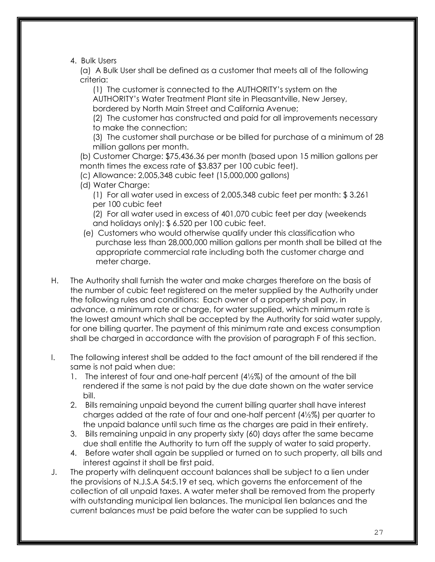4. Bulk Users

(a) A Bulk User shall be defined as a customer that meets all of the following criteria:

(1) The customer is connected to the AUTHORITY's system on the AUTHORITY's Water Treatment Plant site in Pleasantville, New Jersey, bordered by North Main Street and California Avenue;

(2) The customer has constructed and paid for all improvements necessary to make the connection;

(3) The customer shall purchase or be billed for purchase of a minimum of 28 million gallons per month.

(b) Customer Charge: \$75,436.36 per month (based upon 15 million gallons per month times the excess rate of \$3.837 per 100 cubic feet).

- (c) Allowance: 2,005,348 cubic feet (15,000,000 gallons)
- (d) Water Charge:

(1) For all water used in excess of 2,005,348 cubic feet per month: \$ 3.261 per 100 cubic feet

(2) For all water used in excess of 401,070 cubic feet per day (weekends and holidays only): \$ 6.520 per 100 cubic feet.

- (e) Customers who would otherwise qualify under this classification who purchase less than 28,000,000 million gallons per month shall be billed at the appropriate commercial rate including both the customer charge and meter charge.
- H. The Authority shall furnish the water and make charges therefore on the basis of the number of cubic feet registered on the meter supplied by the Authority under the following rules and conditions: Each owner of a property shall pay, in advance, a minimum rate or charge, for water supplied, which minimum rate is the lowest amount which shall be accepted by the Authority for said water supply, for one billing quarter. The payment of this minimum rate and excess consumption shall be charged in accordance with the provision of paragraph F of this section.
- I. The following interest shall be added to the fact amount of the bill rendered if the same is not paid when due:
	- 1. The interest of four and one-half percent (4½%) of the amount of the bill rendered if the same is not paid by the due date shown on the water service bill.
	- 2. Bills remaining unpaid beyond the current billing quarter shall have interest charges added at the rate of four and one-half percent (4½%) per quarter to the unpaid balance until such time as the charges are paid in their entirety.
	- 3. Bills remaining unpaid in any property sixty (60) days after the same became due shall entitle the Authority to turn off the supply of water to said property.
	- 4. Before water shall again be supplied or turned on to such property, all bills and interest against it shall be first paid.
- J. The property with delinquent account balances shall be subject to a lien under the provisions of N.J.S.A 54:5.19 et seq, which governs the enforcement of the collection of all unpaid taxes. A water meter shall be removed from the property with outstanding municipal lien balances. The municipal lien balances and the current balances must be paid before the water can be supplied to such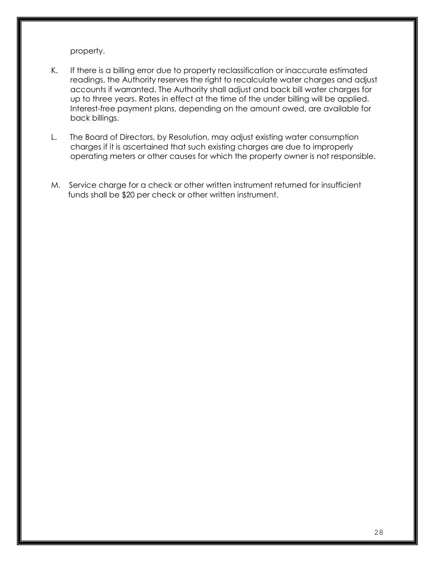property.

- K. If there is a billing error due to property reclassification or inaccurate estimated readings, the Authority reserves the right to recalculate water charges and adjust accounts if warranted. The Authority shall adjust and back bill water charges for up to three years. Rates in effect at the time of the under billing will be applied. Interest-free payment plans, depending on the amount owed, are available for back billings.
- L. The Board of Directors, by Resolution, may adjust existing water consumption charges if it is ascertained that such existing charges are due to improperly operating meters or other causes for which the property owner is not responsible.
- M. Service charge for a check or other written instrument returned for insufficient funds shall be \$20 per check or other written instrument.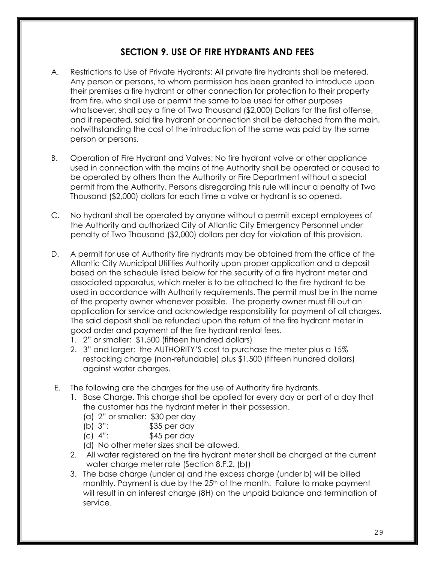# **SECTION 9. USE OF FIRE HYDRANTS AND FEES**

- A. Restrictions to Use of Private Hydrants: All private fire hydrants shall be metered. Any person or persons, to whom permission has been granted to introduce upon their premises a fire hydrant or other connection for protection to their property from fire, who shall use or permit the same to be used for other purposes whatsoever, shall pay a fine of Two Thousand (\$2,000) Dollars for the first offense, and if repeated, said fire hydrant or connection shall be detached from the main, notwithstanding the cost of the introduction of the same was paid by the same person or persons.
- B. Operation of Fire Hydrant and Valves: No fire hydrant valve or other appliance used in connection with the mains of the Authority shall be operated or caused to be operated by others than the Authority or Fire Department without a special permit from the Authority. Persons disregarding this rule will incur a penalty of Two Thousand (\$2,000) dollars for each time a valve or hydrant is so opened.
- C. No hydrant shall be operated by anyone without a permit except employees of the Authority and authorized City of Atlantic City Emergency Personnel under penalty of Two Thousand (\$2,000) dollars per day for violation of this provision.
- D. A permit for use of Authority fire hydrants may be obtained from the office of the Atlantic City Municipal Utilities Authority upon proper application and a deposit based on the schedule listed below for the security of a fire hydrant meter and associated apparatus, which meter is to be attached to the fire hydrant to be used in accordance with Authority requirements. The permit must be in the name of the property owner whenever possible. The property owner must fill out an application for service and acknowledge responsibility for payment of all charges. The said deposit shall be refunded upon the return of the fire hydrant meter in good order and payment of the fire hydrant rental fees.
	- 1. 2" or smaller: \$1,500 (fifteen hundred dollars)
	- 2. 3" and larger: the AUTHORITY'S cost to purchase the meter plus a 15% restocking charge (non-refundable) plus \$1,500 (fifteen hundred dollars) against water charges.
- E. The following are the charges for the use of Authority fire hydrants.
	- 1. Base Charge. This charge shall be applied for every day or part of a day that the customer has the hydrant meter in their possession.
		- (a) 2" or smaller: \$30 per day
		- (b) 3": \$35 per day
		- (c) 4": \$45 per day
		- (d) No other meter sizes shall be allowed.
	- 2. All water registered on the fire hydrant meter shall be charged at the current water charge meter rate (Section 8.F.2. (b))
	- 3. The base charge (under a) and the excess charge (under b) will be billed monthly. Payment is due by the 25<sup>th</sup> of the month. Failure to make payment will result in an interest charge (8H) on the unpaid balance and termination of service.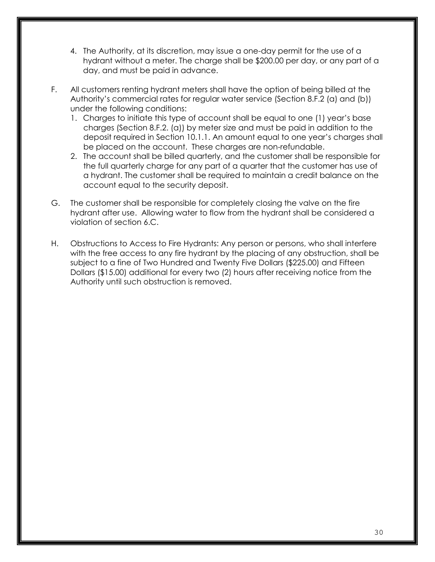- 4. The Authority, at its discretion, may issue a one-day permit for the use of a hydrant without a meter. The charge shall be \$200.00 per day, or any part of a day, and must be paid in advance.
- F. All customers renting hydrant meters shall have the option of being billed at the Authority's commercial rates for regular water service (Section 8.F.2 (a) and (b)) under the following conditions:
	- 1. Charges to initiate this type of account shall be equal to one (1) year's base charges (Section 8.F.2. (a)) by meter size and must be paid in addition to the deposit required in Section 10.1.1. An amount equal to one year's charges shall be placed on the account. These charges are non-refundable.
	- 2. The account shall be billed quarterly, and the customer shall be responsible for the full quarterly charge for any part of a quarter that the customer has use of a hydrant. The customer shall be required to maintain a credit balance on the account equal to the security deposit.
- G. The customer shall be responsible for completely closing the valve on the fire hydrant after use. Allowing water to flow from the hydrant shall be considered a violation of section 6.C.
- H. Obstructions to Access to Fire Hydrants: Any person or persons, who shall interfere with the free access to any fire hydrant by the placing of any obstruction, shall be subject to a fine of Two Hundred and Twenty Five Dollars (\$225.00) and Fifteen Dollars (\$15.00) additional for every two (2) hours after receiving notice from the Authority until such obstruction is removed.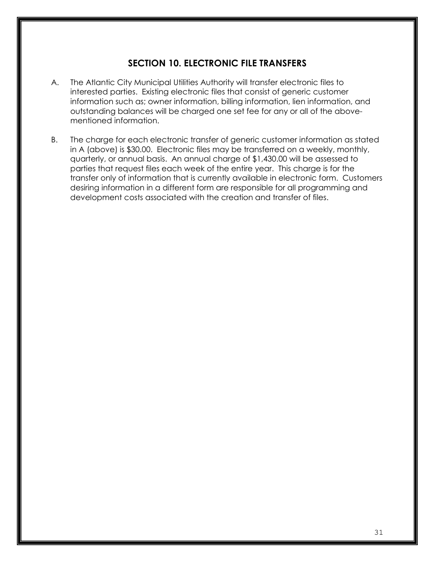# **SECTION 10. ELECTRONIC FILE TRANSFERS**

- A. The Atlantic City Municipal Utilities Authority will transfer electronic files to interested parties. Existing electronic files that consist of generic customer information such as; owner information, billing information, lien information, and outstanding balances will be charged one set fee for any or all of the abovementioned information.
- B. The charge for each electronic transfer of generic customer information as stated in A (above) is \$30.00. Electronic files may be transferred on a weekly, monthly, quarterly, or annual basis. An annual charge of \$1,430.00 will be assessed to parties that request files each week of the entire year. This charge is for the transfer only of information that is currently available in electronic form. Customers desiring information in a different form are responsible for all programming and development costs associated with the creation and transfer of files.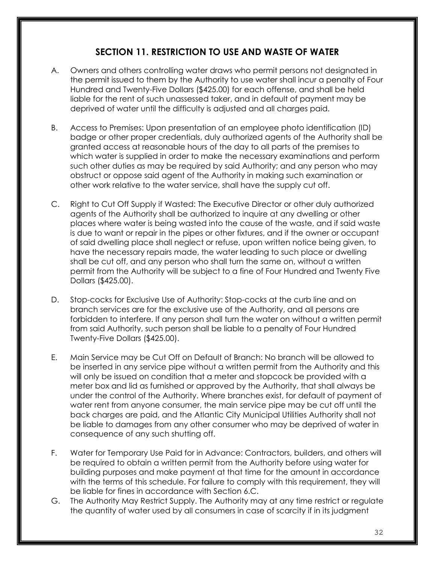# **SECTION 11. RESTRICTION TO USE AND WASTE OF WATER**

- A. Owners and others controlling water draws who permit persons not designated in the permit issued to them by the Authority to use water shall incur a penalty of Four Hundred and Twenty-Five Dollars (\$425.00) for each offense, and shall be held liable for the rent of such unassessed taker, and in default of payment may be deprived of water until the difficulty is adjusted and all charges paid.
- B. Access to Premises: Upon presentation of an employee photo identification (ID) badge or other proper credentials, duly authorized agents of the Authority shall be granted access at reasonable hours of the day to all parts of the premises to which water is supplied in order to make the necessary examinations and perform such other duties as may be required by said Authority; and any person who may obstruct or oppose said agent of the Authority in making such examination or other work relative to the water service, shall have the supply cut off.
- C. Right to Cut Off Supply if Wasted: The Executive Director or other duly authorized agents of the Authority shall be authorized to inquire at any dwelling or other places where water is being wasted into the cause of the waste, and if said waste is due to want or repair in the pipes or other fixtures, and if the owner or occupant of said dwelling place shall neglect or refuse, upon written notice being given, to have the necessary repairs made, the water leading to such place or dwelling shall be cut off, and any person who shall turn the same on, without a written permit from the Authority will be subject to a fine of Four Hundred and Twenty Five Dollars (\$425.00).
- D. Stop-cocks for Exclusive Use of Authority: Stop-cocks at the curb line and on branch services are for the exclusive use of the Authority, and all persons are forbidden to interfere. If any person shall turn the water on without a written permit from said Authority, such person shall be liable to a penalty of Four Hundred Twenty-Five Dollars (\$425.00).
- E. Main Service may be Cut Off on Default of Branch: No branch will be allowed to be inserted in any service pipe without a written permit from the Authority and this will only be issued on condition that a meter and stopcock be provided with a meter box and lid as furnished or approved by the Authority, that shall always be under the control of the Authority. Where branches exist, for default of payment of water rent from anyone consumer, the main service pipe may be cut off until the back charges are paid, and the Atlantic City Municipal Utilities Authority shall not be liable to damages from any other consumer who may be deprived of water in consequence of any such shutting off.
- F. Water for Temporary Use Paid for in Advance: Contractors, builders, and others will be required to obtain a written permit from the Authority before using water for building purposes and make payment at that time for the amount in accordance with the terms of this schedule. For failure to comply with this requirement, they will be liable for fines in accordance with Section 6.C.
- G. The Authority May Restrict Supply. The Authority may at any time restrict or regulate the quantity of water used by all consumers in case of scarcity if in its judgment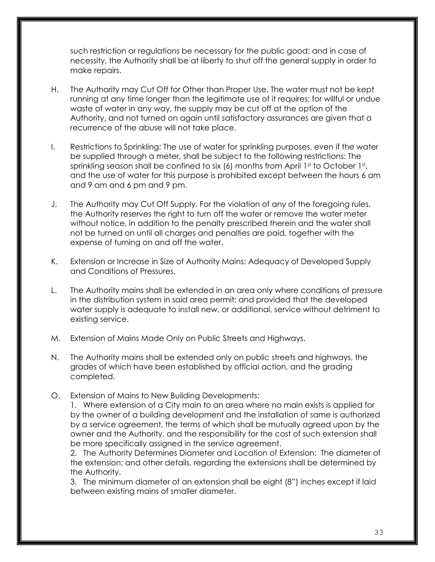such restriction or regulations be necessary for the public good; and in case of necessity, the Authority shall be at liberty to shut off the general supply in order to make repairs.

- H. The Authority may Cut Off for Other than Proper Use. The water must not be kept running at any time longer than the legitimate use of it requires; for willful or undue waste of water in any way, the supply may be cut off at the option of the Authority, and not turned on again until satisfactory assurances are given that a recurrence of the abuse will not take place.
- I. Restrictions to Sprinkling: The use of water for sprinkling purposes, even if the water be supplied through a meter, shall be subject to the following restrictions: The sprinkling season shall be confined to six (6) months from April 1st to October 1st, and the use of water for this purpose is prohibited except between the hours 6 am and 9 am and 6 pm and 9 pm.
- J. The Authority may Cut Off Supply. For the violation of any of the foregoing rules, the Authority reserves the right to turn off the water or remove the water meter without notice, in addition to the penalty prescribed therein and the water shall not be turned on until all charges and penalties are paid, together with the expense of turning on and off the water.
- K. Extension or Increase in Size of Authority Mains: Adequacy of Developed Supply and Conditions of Pressures.
- L. The Authority mains shall be extended in an area only where conditions of pressure in the distribution system in said area permit; and provided that the developed water supply is adequate to install new, or additional, service without detriment to existing service.
- M. Extension of Mains Made Only on Public Streets and Highways.
- N. The Authority mains shall be extended only on public streets and highways, the grades of which have been established by official action, and the grading completed.
- O. Extension of Mains to New Building Developments;

1. Where extension of a City main to an area where no main exists is applied for by the owner of a building development and the installation of same is authorized by a service agreement, the terms of which shall be mutually agreed upon by the owner and the Authority, and the responsibility for the cost of such extension shall be more specifically assigned in the service agreement.

2. The Authority Determines Diameter and Location of Extension: The diameter of the extension; and other details, regarding the extensions shall be determined by the Authority.

3. The minimum diameter of an extension shall be eight (8") inches except if laid between existing mains of smaller diameter.